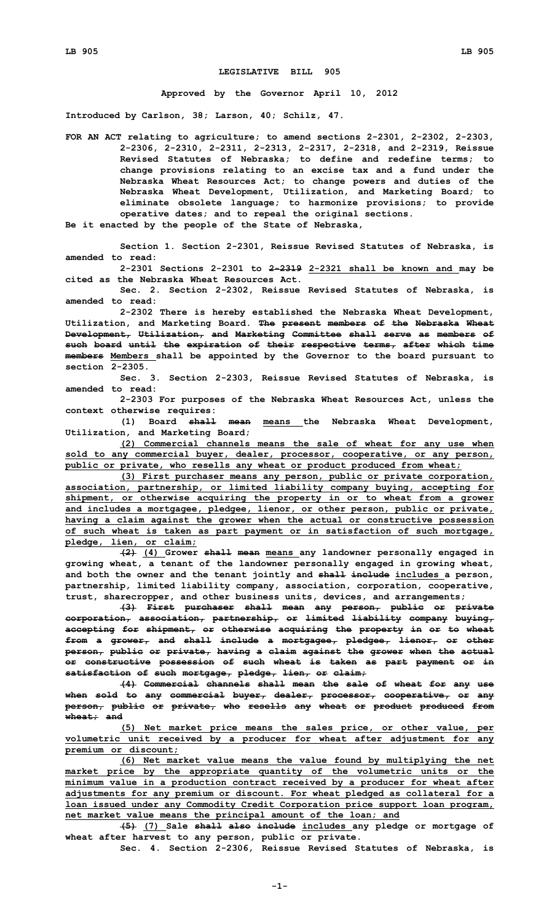## **LEGISLATIVE BILL 905**

**Approved by the Governor April 10, 2012**

**Introduced by Carlson, 38; Larson, 40; Schilz, 47.**

**FOR AN ACT relating to agriculture; to amend sections 2-2301, 2-2302, 2-2303, 2-2306, 2-2310, 2-2311, 2-2313, 2-2317, 2-2318, and 2-2319, Reissue Revised Statutes of Nebraska; to define and redefine terms; to change provisions relating to an excise tax and <sup>a</sup> fund under the Nebraska Wheat Resources Act; to change powers and duties of the Nebraska Wheat Development, Utilization, and Marketing Board; to eliminate obsolete language; to harmonize provisions; to provide operative dates; and to repeal the original sections.**

**Be it enacted by the people of the State of Nebraska,**

**Section 1. Section 2-2301, Reissue Revised Statutes of Nebraska, is amended to read:**

**2-2301 Sections 2-2301 to 2-2319 2-2321 shall be known and may be cited as the Nebraska Wheat Resources Act.**

**Sec. 2. Section 2-2302, Reissue Revised Statutes of Nebraska, is amended to read:**

**2-2302 There is hereby established the Nebraska Wheat Development, Utilization, and Marketing Board. The present members of the Nebraska Wheat Development, Utilization, and Marketing Committee shall serve as members of such board until the expiration of their respective terms, after which time members Members shall be appointed by the Governor to the board pursuant to section 2-2305.**

**Sec. 3. Section 2-2303, Reissue Revised Statutes of Nebraska, is amended to read:**

**2-2303 For purposes of the Nebraska Wheat Resources Act, unless the context otherwise requires:**

**(1) Board shall mean means the Nebraska Wheat Development, Utilization, and Marketing Board;**

**(2) Commercial channels means the sale of wheat for any use when sold to any commercial buyer, dealer, processor, cooperative, or any person, public or private, who resells any wheat or product produced from wheat;**

**(3) First purchaser means any person, public or private corporation, association, partnership, or limited liability company buying, accepting for shipment, or otherwise acquiring the property in or to wheat from <sup>a</sup> grower and includes <sup>a</sup> mortgagee, pledgee, lienor, or other person, public or private, having <sup>a</sup> claim against the grower when the actual or constructive possession of such wheat is taken as part payment or in satisfaction of such mortgage, pledge, lien, or claim;**

**(2) (4) Grower shall mean means any landowner personally engaged in growing wheat, <sup>a</sup> tenant of the landowner personally engaged in growing wheat, and both the owner and the tenant jointly and shall include includes <sup>a</sup> person, partnership, limited liability company, association, corporation, cooperative, trust, sharecropper, and other business units, devices, and arrangements;**

**(3) First purchaser shall mean any person, public or private corporation, association, partnership, or limited liability company buying, accepting for shipment, or otherwise acquiring the property in or to wheat from <sup>a</sup> grower, and shall include <sup>a</sup> mortgagee, pledgee, lienor, or other person, public or private, having <sup>a</sup> claim against the grower when the actual or constructive possession of such wheat is taken as part payment or in satisfaction of such mortgage, pledge, lien, or claim;**

**(4) Commercial channels shall mean the sale of wheat for any use when sold to any commercial buyer, dealer, processor, cooperative, or any person, public or private, who resells any wheat or product produced from wheat; and**

**(5) Net market price means the sales price, or other value, per volumetric unit received by <sup>a</sup> producer for wheat after adjustment for any premium or discount;**

**(6) Net market value means the value found by multiplying the net market price by the appropriate quantity of the volumetric units or the minimum value in <sup>a</sup> production contract received by <sup>a</sup> producer for wheat after adjustments for any premium or discount. For wheat pledged as collateral for <sup>a</sup> loan issued under any Commodity Credit Corporation price support loan program, net market value means the principal amount of the loan; and**

**(5) (7) Sale shall also include includes any pledge or mortgage of wheat after harvest to any person, public or private.**

**Sec. 4. Section 2-2306, Reissue Revised Statutes of Nebraska, is**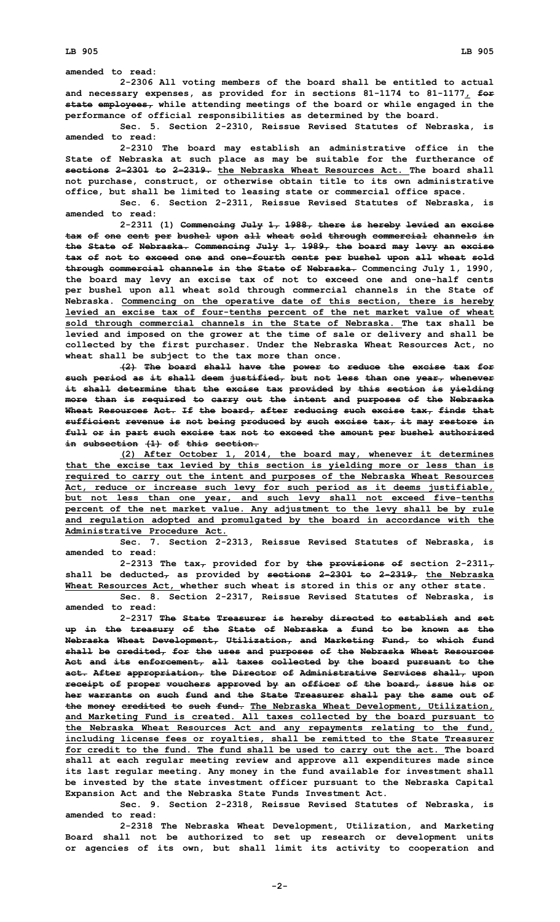**amended to read:**

**2-2306 All voting members of the board shall be entitled to actual and necessary expenses, as provided for in sections 81-1174 to 81-1177, for state employees, while attending meetings of the board or while engaged in the performance of official responsibilities as determined by the board.**

**Sec. 5. Section 2-2310, Reissue Revised Statutes of Nebraska, is amended to read:**

**2-2310 The board may establish an administrative office in the State of Nebraska at such place as may be suitable for the furtherance of sections 2-2301 to 2-2319. the Nebraska Wheat Resources Act. The board shall not purchase, construct, or otherwise obtain title to its own administrative office, but shall be limited to leasing state or commercial office space.**

**Sec. 6. Section 2-2311, Reissue Revised Statutes of Nebraska, is amended to read:**

**2-2311 (1) Commencing July 1, 1988, there is hereby levied an excise tax of one cent per bushel upon all wheat sold through commercial channels in the State of Nebraska. Commencing July 1, 1989, the board may levy an excise tax of not to exceed one and one-fourth cents per bushel upon all wheat sold through commercial channels in the State of Nebraska. Commencing July 1, 1990, the board may levy an excise tax of not to exceed one and one-half cents per bushel upon all wheat sold through commercial channels in the State of Nebraska. Commencing on the operative date of this section, there is hereby levied an excise tax of four-tenths percent of the net market value of wheat sold through commercial channels in the State of Nebraska. The tax shall be levied and imposed on the grower at the time of sale or delivery and shall be collected by the first purchaser. Under the Nebraska Wheat Resources Act, no wheat shall be subject to the tax more than once.**

**(2) The board shall have the power to reduce the excise tax for such period as it shall deem justified, but not less than one year, whenever it shall determine that the excise tax provided by this section is yielding more than is required to carry out the intent and purposes of the Nebraska Wheat Resources Act. If the board, after reducing such excise tax, finds that sufficient revenue is not being produced by such excise tax, it may restore in full or in part such excise tax not to exceed the amount per bushel authorized in subsection (1) of this section.**

**(2) After October 1, 2014, the board may, whenever it determines that the excise tax levied by this section is yielding more or less than is required to carry out the intent and purposes of the Nebraska Wheat Resources Act, reduce or increase such levy for such period as it deems justifiable, but not less than one year, and such levy shall not exceed five-tenths percent of the net market value. Any adjustment to the levy shall be by rule and regulation adopted and promulgated by the board in accordance with the Administrative Procedure Act.**

**Sec. 7. Section 2-2313, Reissue Revised Statutes of Nebraska, is amended to read:**

2-2313 The  $\tanctan\theta$  provided for by the provisions of section 2-2311<sub>7</sub> **shall be deducted, as provided by sections 2-2301 to 2-2319, the Nebraska Wheat Resources Act, whether such wheat is stored in this or any other state.**

**Sec. 8. Section 2-2317, Reissue Revised Statutes of Nebraska, is amended to read:**

**2-2317 The State Treasurer is hereby directed to establish and set up in the treasury of the State of Nebraska <sup>a</sup> fund to be known as the Nebraska Wheat Development, Utilization, and Marketing Fund, to which fund shall be credited, for the uses and purposes of the Nebraska Wheat Resources Act and its enforcement, all taxes collected by the board pursuant to the act. After appropriation, the Director of Administrative Services shall, upon receipt of proper vouchers approved by an officer of the board, issue his or her warrants on such fund and the State Treasurer shall pay the same out of the money credited to such fund. The Nebraska Wheat Development, Utilization, and Marketing Fund is created. All taxes collected by the board pursuant to the Nebraska Wheat Resources Act and any repayments relating to the fund, including license fees or royalties, shall be remitted to the State Treasurer for credit to the fund. The fund shall be used to carry out the act. The board shall at each regular meeting review and approve all expenditures made since its last regular meeting. Any money in the fund available for investment shall be invested by the state investment officer pursuant to the Nebraska Capital Expansion Act and the Nebraska State Funds Investment Act.**

**Sec. 9. Section 2-2318, Reissue Revised Statutes of Nebraska, is amended to read:**

**2-2318 The Nebraska Wheat Development, Utilization, and Marketing Board shall not be authorized to set up research or development units or agencies of its own, but shall limit its activity to cooperation and**